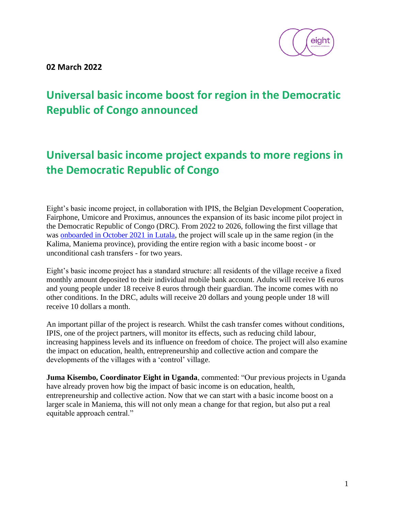

**02 March 2022**

# **Universal basic income boost for region in the Democratic Republic of Congo announced**

## **Universal basic income project expands to more regions in the Democratic Republic of Congo**

Eight's basic income project, in collaboration with IPIS, the Belgian Development Cooperation, Fairphone, Umicore and Proximus, announces the expansion of its basic income pilot project in the Democratic Republic of Congo (DRC). From 2022 to 2026, following the first village that was [onboarded in October 2021 in Lutala,](https://www.eight.world/dr-congo) the project will scale up in the same region (in the Kalima, Maniema province), providing the entire region with a basic income boost - or unconditional cash transfers - for two years.

Eight's basic income project has a standard structure: all residents of the village receive a fixed monthly amount deposited to their individual mobile bank account. Adults will receive 16 euros and young people under 18 receive 8 euros through their guardian. The income comes with no other conditions. In the DRC, adults will receive 20 dollars and young people under 18 will receive 10 dollars a month.

An important pillar of the project is research. Whilst the cash transfer comes without conditions, IPIS, one of the project partners, will monitor its effects, such as reducing child labour, increasing happiness levels and its influence on freedom of choice. The project will also examine the impact on education, health, entrepreneurship and collective action and compare the developments of the villages with a 'control' village.

**Juma Kisembo, Coordinator Eight in Uganda**, commented: "Our previous projects in Uganda have already proven how big the impact of basic income is on education, health, entrepreneurship and collective action. Now that we can start with a basic income boost on a larger scale in Maniema, this will not only mean a change for that region, but also put a real equitable approach central."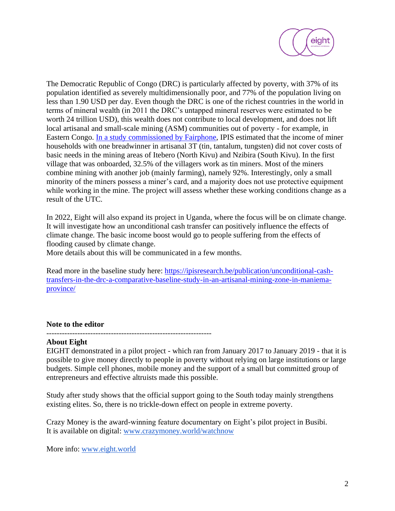

The Democratic Republic of Congo (DRC) is particularly affected by poverty, with 37% of its population identified as severely multidimensionally poor, and 77% of the population living on less than 1.90 USD per day. Even though the DRC is one of the richest countries in the world in terms of mineral wealth (in 2011 the DRC's untapped mineral reserves were estimated to be worth 24 trillion USD), this wealth does not contribute to local development, and does not lift local artisanal and small-scale mining (ASM) communities out of poverty - for example, in Eastern Congo. In a [study commissioned by Fairphone,](https://www.fairphone.com/wp-content/uploads/2020/05/Fairphone-report_final.pdf) IPIS estimated that the income of miner households with one breadwinner in artisanal 3T (tin, tantalum, tungsten) did not cover costs of basic needs in the mining areas of Itebero (North Kivu) and Nzibira (South Kivu). In the first village that was onboarded, 32.5% of the villagers work as tin miners. Most of the miners combine mining with another job (mainly farming), namely 92%. Interestingly, only a small minority of the miners possess a miner's card, and a majority does not use protective equipment while working in the mine. The project will assess whether these working conditions change as a result of the UTC.

In 2022, Eight will also expand its project in Uganda, where the focus will be on climate change. It will investigate how an unconditional cash transfer can positively influence the effects of climate change. The basic income boost would go to people suffering from the effects of flooding caused by climate change.

More details about this will be communicated in a few months.

Read more in the baseline study here: [https://ipisresearch.be/publication/unconditional-cash](https://ipisresearch.be/publication/unconditional-cash-transfers-in-the-drc-a-comparative-baseline-study-in-an-artisanal-mining-zone-in-maniema-province/)[transfers-in-the-drc-a-comparative-baseline-study-in-an-artisanal-mining-zone-in-maniema](https://ipisresearch.be/publication/unconditional-cash-transfers-in-the-drc-a-comparative-baseline-study-in-an-artisanal-mining-zone-in-maniema-province/)[province/](https://ipisresearch.be/publication/unconditional-cash-transfers-in-the-drc-a-comparative-baseline-study-in-an-artisanal-mining-zone-in-maniema-province/)

#### **Note to the editor**

#### **About Eight**

EIGHT demonstrated in a pilot project - which ran from January 2017 to January 2019 - that it is possible to give money directly to people in poverty without relying on large institutions or large budgets. Simple cell phones, mobile money and the support of a small but committed group of entrepreneurs and effective altruists made this possible.

Study after study shows that the official support going to the South today mainly strengthens existing elites. So, there is no trickle-down effect on people in extreme poverty.

Crazy Money is the award-winning feature documentary on Eight's pilot project in Busibi. It is available on digital[:](http://www.crazymoney.world/watchnow) [www.crazymoney.world/watchnow](http://www.crazymoney.world/watchnow)

More info[:](http://www.eight.world/) [www.eight.world](http://www.eight.world/)